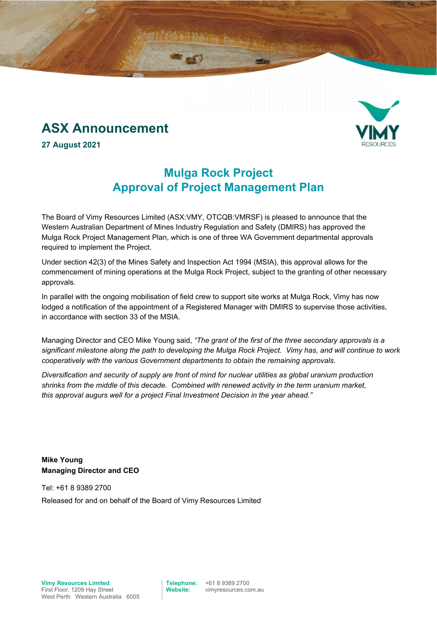# **ASX Announcement**



**27 August 2021** 

## **Mulga Rock Project Approval of Project Management Plan**

The Board of Vimy Resources Limited (ASX:VMY, OTCQB:VMRSF) is pleased to announce that the Western Australian Department of Mines Industry Regulation and Safety (DMIRS) has approved the Mulga Rock Project Management Plan, which is one of three WA Government departmental approvals required to implement the Project.

Under section 42(3) of the Mines Safety and Inspection Act 1994 (MSIA), this approval allows for the commencement of mining operations at the Mulga Rock Project, subject to the granting of other necessary approvals.

In parallel with the ongoing mobilisation of field crew to support site works at Mulga Rock, Vimy has now lodged a notification of the appointment of a Registered Manager with DMIRS to supervise those activities, in accordance with section 33 of the MSIA.

Managing Director and CEO Mike Young said, *"The grant of the first of the three secondary approvals is a significant milestone along the path to developing the Mulga Rock Project. Vimy has, and will continue to work cooperatively with the various Government departments to obtain the remaining approvals.* 

*Diversification and security of supply are front of mind for nuclear utilities as global uranium production shrinks from the middle of this decade. Combined with renewed activity in the term uranium market, this approval augurs well for a project Final Investment Decision in the year ahead."* 

**Mike Young Managing Director and CEO** 

Tel: +61 8 9389 2700 Released for and on behalf of the Board of Vimy Resources Limited